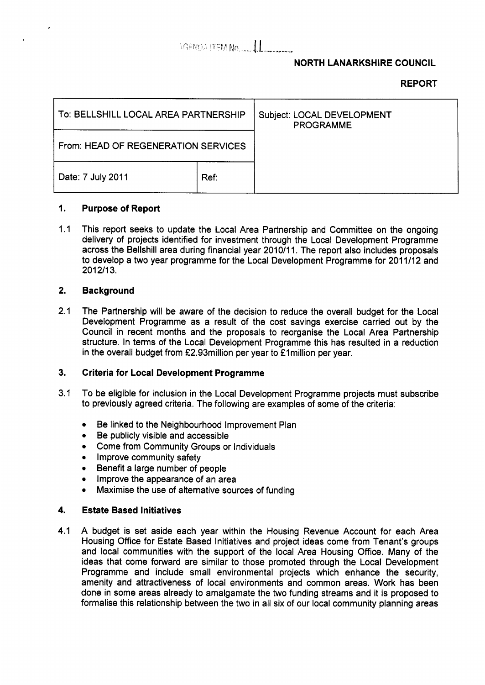## AGENDA FEM NO. 11

### **NORTH LANARKSHIRE COUNCIL**

### **REPORT**

| To: BELLSHILL LOCAL AREA PARTNERSHIP |      | Subject: LOCAL DEVELOPMENT<br><b>PROGRAMME</b> |
|--------------------------------------|------|------------------------------------------------|
| From: HEAD OF REGENERATION SERVICES  |      |                                                |
| Date: 7 July 2011                    | Ref: |                                                |

#### **1. Purpose of Report**

1.1 This report seeks to update the Local Area Partnership and Committee on the ongoing delivery of projects identified for investment through the Local Development Programme across the Bellshill area during financial year 2010/11. The report also includes proposals to develop a two year programme for the Local Development Programme for 2011/12 and 2012/13.

#### **2. Background**

2.1 The Partnership will be aware of the decision to reduce the overall budget for the Local Development Programme as a result of the cost savings exercise carried out by the Council in recent months and the proposals to reorganise the Local Area Partnership structure. In terms of the Local Development Programme this has resulted in a reduction in the overall budget from f2.93million per year to €1 million per year.

#### **3. Criteria for Local Development Programme**

- 3.1 To be eligible for inclusion in the Local Development Programme projects must subscribe to previously agreed criteria. The following are examples of some of the criteria:
	- Be linked to the Neighbourhood Improvement Plan
	- *0* Be publicly visible and accessible
	- *0* Come from Community Groups or Individuals
	- **Improve community safety**
	- Benefit a large number of people
	- Improve the appearance of an area
	- **Maximise the use of alternative sources of funding**

#### **4. Estate Based Initiatives**

4.1 **A** budget is set aside each year within the Housing Revenue Account for each Area Housing Office for Estate Based Initiatives and project ideas come from Tenant's groups and local communities with the support of the local Area Housing Office. Many of the ideas that come forward are similar to those promoted through the Local Development Programme and include small environmental projects which enhance the security, amenity and attractiveness of local environments and common areas. Work has been done in some areas already to amalgamate the two funding streams and it is proposed to formalise this relationship between the two in all six of our local community planning areas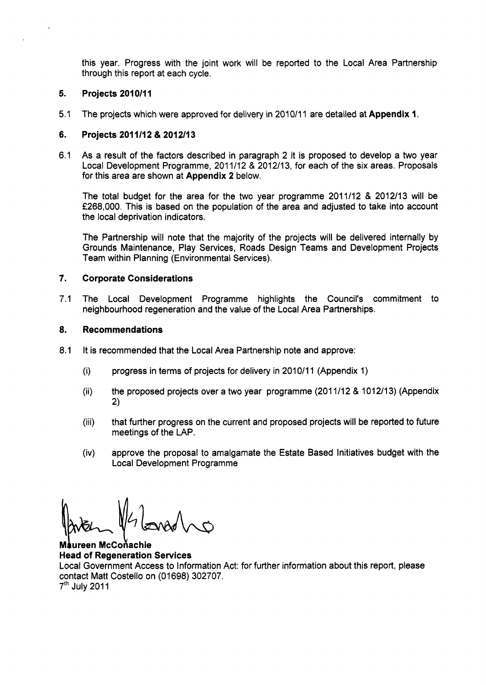this year. Progress with the joint work will be reported to the Local Area Partnership through this report at each cycle.

#### **5. Projects 2010/11**

 $\ddot{\phantom{a}}$ 

5.1 The projects which were approved for delivery in 2010/11 are detailed at **Appendix 1.** 

#### **6. Projects 201 1/12** & **201 2/13**

6.1 As a result of the factors described in paragraph 2 it is proposed to develop a two year Local Development Programme, 201 1/12 & 2012/13, for each of the six areas. Proposals for this area are shown at **Appendix 2** below.

The total budget for the area for the two year programme 2011/12 & 2012113 will be f268,OOO. This is based on the population of the area and adjusted to take into account the local deprivation indicators.

The Partnership will note that the majority of the projects will be delivered internally by Grounds Maintenance, Play Services, Roads Design Teams and Development Projects Team within Planning (Environmental Services).

#### **7. Corporate Considerations**

7.1 The Local Development Programme highlights the Council's commitment to neighbourhood regeneration and the value of the Local Area Partnerships.

#### **8. Recommendations**

- 8.1 It is recommended that the Local Area Partnership note and approve:
	- $(i)$ progress in terms of projects for delivery in 2010/11 (Appendix 1)
	- $(ii)$ the proposed projects over a two year programme (2011/12 & 1012/13) (Appendix 2)
	- $(iii)$ that further progress on the current and proposed projects will be reported to future meetings of the LAP.
	- $(iv)$ approve the proposal to amalgamate the Estate Based Initiatives budget with the Local Development Programme

iureen McCoňachie M: **Head of Regeneration Services**  Local Government Access to Information Act: for further information about this report, please contact Matt Costello on (01698) 302707.  $7<sup>th</sup>$  July 2011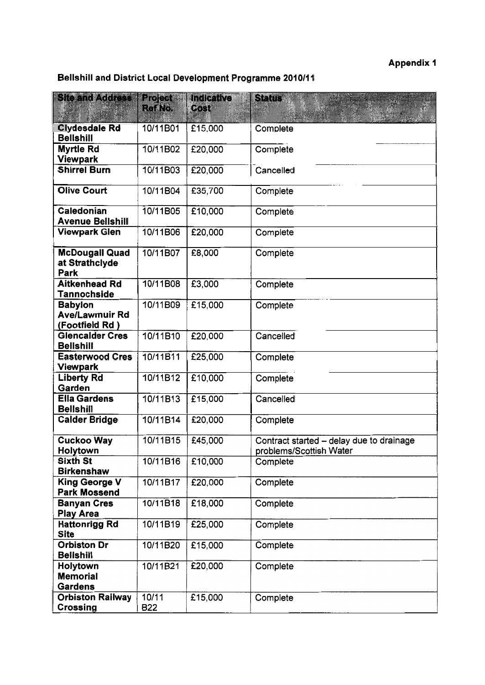# Appendix 1

# **Bellshill and District Local Development Programme 2010/11**

| <b>Site and Address</b>                                    | <b>Project</b>      | Indicative | <b>Status</b>                                                       |  |
|------------------------------------------------------------|---------------------|------------|---------------------------------------------------------------------|--|
|                                                            | Ref No.             | Cost       |                                                                     |  |
| <b>Clydesdale Rd</b><br><b>Bellshill</b>                   | 10/11B01            | £15,000    | Complete                                                            |  |
| <b>Myrtle Rd</b><br><b>Viewpark</b>                        | 10/11B02            | £20,000    | Complete                                                            |  |
| <b>Shirrel Burn</b>                                        | 10/11B03            | £20,000    | Cancelled                                                           |  |
| <b>Olive Court</b>                                         | 10/11B04            | £35,700    | Complete                                                            |  |
| <b>Caledonian</b><br><b>Avenue Bellshill</b>               | 10/11B05            | £10,000    | Complete                                                            |  |
| <b>Viewpark Glen</b>                                       | 10/11B06            | £20,000    | Complete                                                            |  |
| <b>McDougall Quad</b><br>at Strathclyde<br>Park            | 10/11B07            | £8,000     | Complete                                                            |  |
| <b>Aitkenhead Rd</b><br>Tannochside                        | 10/11B08            | £3,000     | Complete                                                            |  |
| <b>Babylon</b><br><b>Ave/Lawmuir Rd</b><br>(Footfield Rd ) | 10/11B09            | £15,000    | Complete                                                            |  |
| <b>Glencalder Cres</b><br><b>Bellshill</b>                 | 10/11B10            | £20,000    | Cancelled                                                           |  |
| <b>Easterwood Cres</b><br>Viewpark                         | 10/11B11            | £25,000    | Complete                                                            |  |
| <b>Liberty Rd</b><br>Garden                                | 10/11B12            | £10,000    | Complete                                                            |  |
| <b>Ella Gardens</b><br><b>Bellshill</b>                    | 10/11B13            | £15,000    | Cancelled                                                           |  |
| <b>Calder Bridge</b>                                       | 10/11B14            | £20,000    | Complete                                                            |  |
| <b>Cuckoo Way</b><br>Holytown                              | 10/11B15            | £45,000    | Contract started - delay due to drainage<br>problems/Scottish Water |  |
| <b>Sixth St</b><br><b>Birkenshaw</b>                       | 10/11B16            | £10,000    | Complete                                                            |  |
| <b>King George V</b><br><b>Park Mossend</b>                | 10/11B17            | £20,000    | Complete                                                            |  |
| <b>Banyan Cres</b><br><b>Play Area</b>                     | 10/11B18            | £18,000    | Complete                                                            |  |
| <b>Hattonrigg Rd</b><br><b>Site</b>                        | 10/11B19            | £25,000    | Complete                                                            |  |
| <b>Orbiston Dr</b><br><b>Bellshill</b>                     | 10/11B20            | £15,000    | Complete                                                            |  |
| Holytown<br><b>Memorial</b><br><b>Gardens</b>              | 10/11B21            | £20,000    | Complete                                                            |  |
| <b>Orbiston Railway</b><br>Crossing                        | 10/11<br><b>B22</b> | £15,000    | Complete                                                            |  |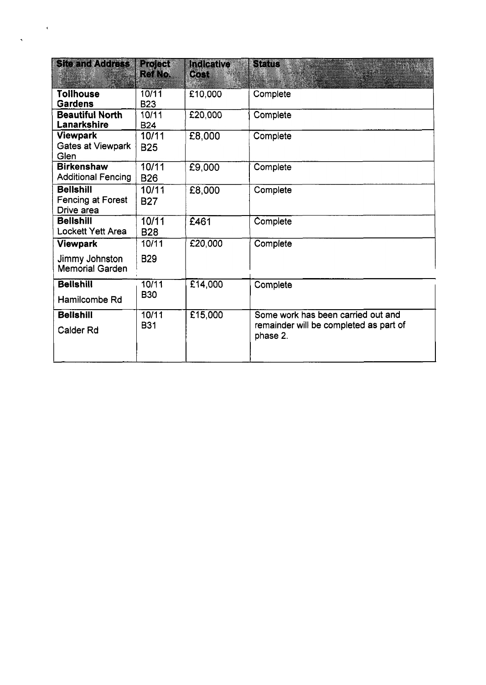| <b>Site and Address</b>                                            | Project<br>Romo     | <b>Indicative</b><br><b>Cost</b> | Sfalls                                                                                   |
|--------------------------------------------------------------------|---------------------|----------------------------------|------------------------------------------------------------------------------------------|
| <b>Tollhouse</b><br><b>Gardens</b>                                 | 10/11<br><b>B23</b> | £10,000                          | Complete                                                                                 |
| <b>Beautiful North</b><br>Lanarkshire                              | 10/11<br><b>B24</b> | £20,000                          | Complete                                                                                 |
| <b>Viewpark</b><br>Gates at Viewpark<br>Glen                       | 10/11<br><b>B25</b> | £8,000                           | Complete                                                                                 |
| <b>Birkenshaw</b><br><b>Additional Fencing</b>                     | 10/11<br><b>B26</b> | £9,000                           | Complete                                                                                 |
| <b>Bellshill</b><br>Fencing at Forest<br>Drive area                | 10/11<br><b>B27</b> | £8,000                           | Complete                                                                                 |
| <b>Bellshill</b><br><b>Lockett Yett Area</b>                       | 10/11<br><b>B28</b> | £461                             | Complete                                                                                 |
| <b>Viewpark</b><br><b>Jimmy Johnston</b><br><b>Memorial Garden</b> | 10/11<br><b>B29</b> | £20,000                          | Complete                                                                                 |
| <b>Bellshill</b><br>Hamilcombe Rd                                  | 10/11<br><b>B30</b> | £14,000                          | Complete                                                                                 |
| <b>Bellshill</b><br>Calder Rd                                      | 10/11<br><b>B31</b> | £15,000                          | Some work has been carried out and<br>remainder will be completed as part of<br>phase 2. |

 $\ddot{\phantom{1}}$